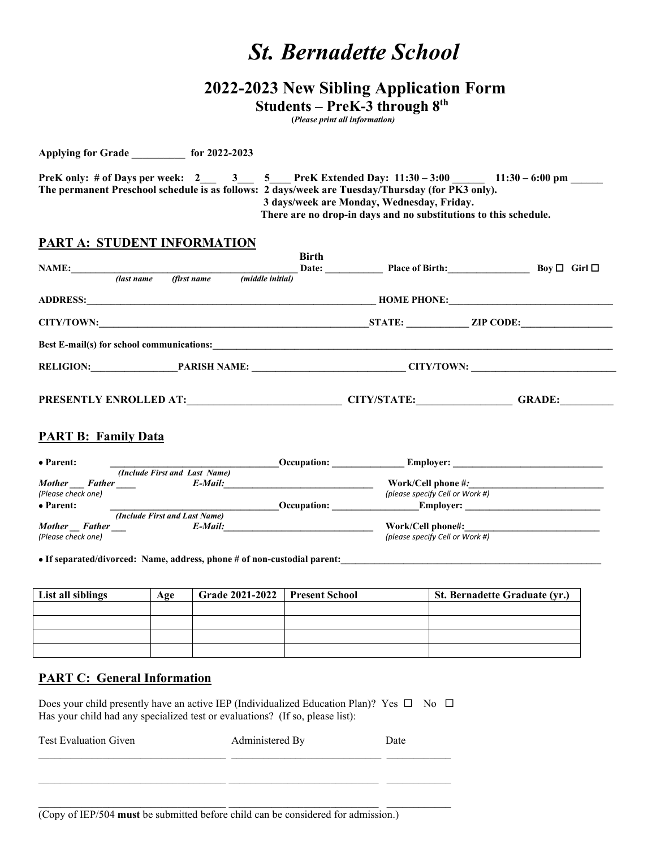# *St. Bernadette School*

# **2022-2023 New Sibling Application Form**

 **Students – PreK-3 through 8th**

 **(***Please print all information)*

| PreK only: # of Days per week: 2 3 5 PreK Extended Day: 11:30 – 3:00 | $11:30 - 6:00$ pm                                                                                |  |  |  |
|----------------------------------------------------------------------|--------------------------------------------------------------------------------------------------|--|--|--|
|                                                                      | The permanent Preschool schedule is as follows: 2 days/week are Tuesday/Thursday (for PK3 only). |  |  |  |
| 3 days/week are Monday, Wednesday, Friday.                           |                                                                                                  |  |  |  |
|                                                                      | There are no drop-in days and no substitutions to this schedule.                                 |  |  |  |

## **PART A: STUDENT INFORMATION**

**Applying for Grade \_\_\_\_\_\_\_\_\_\_ for 2022-2023**

| <b>NAME:</b>                  | (last name                       | (first name | (middle initial) | <b>Birth</b><br>Date: | <b>Place of Birth:</b>                           |                  | Boy $\Box$ Girl $\Box$ |
|-------------------------------|----------------------------------|-------------|------------------|-----------------------|--------------------------------------------------|------------------|------------------------|
| <b>ADDRESS:</b>               |                                  |             |                  |                       | <b>HOME PHONE:</b>                               |                  |                        |
| <b>CITY/TOWN:</b>             |                                  |             |                  |                       | <b>STATE:</b>                                    | <b>ZIP CODE:</b> |                        |
|                               |                                  |             |                  |                       | <b>Best E-mail(s) for school communications:</b> |                  |                        |
|                               | <b>RELIGION:</b><br>PARISH NAME: |             |                  | CITY/TOWN:            |                                                  |                  |                        |
| <b>PRESENTLY ENROLLED AT:</b> |                                  |             |                  |                       | <b>CITY/STATE:</b>                               |                  | <b>GRADE:</b>          |

### **PART B: Family Data**

| • Parent:                      |                               | Occupation:        | <b>Employer:</b>                |
|--------------------------------|-------------------------------|--------------------|---------------------------------|
|                                | (Include First and Last Name) |                    |                                 |
| <b>Mother</b><br><b>Father</b> | E-Mail:                       |                    | Work/Cell phone #:              |
| (Please check one)             |                               |                    | (please specify Cell or Work #) |
| • Parent:                      |                               | <b>Occupation:</b> | <b>Employer:</b>                |
|                                | (Include First and Last Name) |                    |                                 |
| <b>Mother</b><br>Father        | E-Mail:                       |                    | Work/Cell phone#:               |
| (Please check one)             |                               |                    | (please specify Cell or Work #) |

• If separated/divorced: Name, address, phone # of non-custodial parent:

| List all siblings | Age | Grade 2021-2022 | <b>Present School</b> | <b>St. Bernadette Graduate (yr.)</b> |
|-------------------|-----|-----------------|-----------------------|--------------------------------------|
|                   |     |                 |                       |                                      |
|                   |     |                 |                       |                                      |
|                   |     |                 |                       |                                      |
|                   |     |                 |                       |                                      |

### **PART C: General Information**

Does your child presently have an active IEP (Individualized Education Plan)? Yes  $\Box$  No  $\Box$ Has your child had any specialized test or evaluations? (If so, please list):

\_\_\_\_\_\_\_\_\_\_\_\_\_\_\_\_\_\_\_\_\_\_\_\_\_\_\_\_\_\_\_\_\_\_\_ \_\_\_\_\_\_\_\_\_\_\_\_\_\_\_\_\_\_\_\_\_\_\_\_\_\_\_\_ \_\_\_\_\_\_\_\_\_\_\_\_

 $\_$  , and the set of the set of the set of the set of the set of the set of the set of the set of the set of the set of the set of the set of the set of the set of the set of the set of the set of the set of the set of th

Test Evaluation Given **Administered By** Date \_\_\_\_\_\_\_\_\_\_\_\_\_\_\_\_\_\_\_\_\_\_\_\_\_\_\_\_\_\_\_\_\_\_\_ \_\_\_\_\_\_\_\_\_\_\_\_\_\_\_\_\_\_\_\_\_\_\_\_\_\_\_\_ \_\_\_\_\_\_\_\_\_\_\_\_

(Copy of IEP/504 **must** be submitted before child can be considered for admission.)